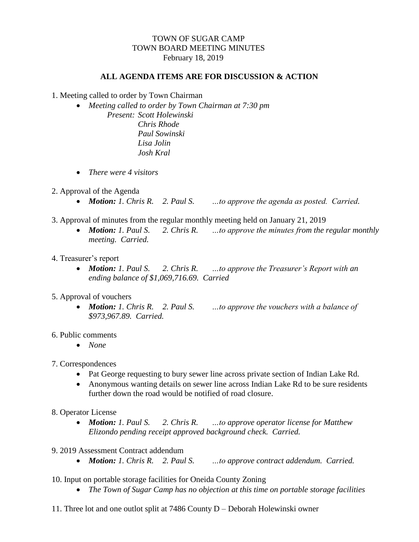## TOWN OF SUGAR CAMP TOWN BOARD MEETING MINUTES February 18, 2019

## **ALL AGENDA ITEMS ARE FOR DISCUSSION & ACTION**

- 1. Meeting called to order by Town Chairman
	- *Meeting called to order by Town Chairman at 7:30 pm Present: Scott Holewinski Chris Rhode Paul Sowinski Lisa Jolin Josh Kral*
	- *There were 4 visitors*
- 2. Approval of the Agenda
	- *Motion: 1. Chris R. 2. Paul S. …to approve the agenda as posted. Carried.*
- 3. Approval of minutes from the regular monthly meeting held on January 21, 2019
	- *Motion: 1. Paul S. 2. Chris R. …to approve the minutes from the regular monthly meeting. Carried.*
- 4. Treasurer's report
	- *Motion: 1. Paul S. 2. Chris R. …to approve the Treasurer's Report with an ending balance of \$1,069,716.69. Carried*
- 5. Approval of vouchers
	- *Motion: 1. Chris R. 2. Paul S. …to approve the vouchers with a balance of \$973,967.89. Carried.*
- 6. Public comments
	- *None*
- 7. Correspondences
	- Pat George requesting to bury sewer line across private section of Indian Lake Rd.
	- Anonymous wanting details on sewer line across Indian Lake Rd to be sure residents further down the road would be notified of road closure.
- 8. Operator License
	- *Motion: 1. Paul S. 2. Chris R. …to approve operator license for Matthew Elizondo pending receipt approved background check. Carried.*
- 9. 2019 Assessment Contract addendum
	- *Motion: 1. Chris R. 2. Paul S. …to approve contract addendum. Carried.*
- 10. Input on portable storage facilities for Oneida County Zoning
	- *The Town of Sugar Camp has no objection at this time on portable storage facilities*
- 11. Three lot and one outlot split at 7486 County D Deborah Holewinski owner